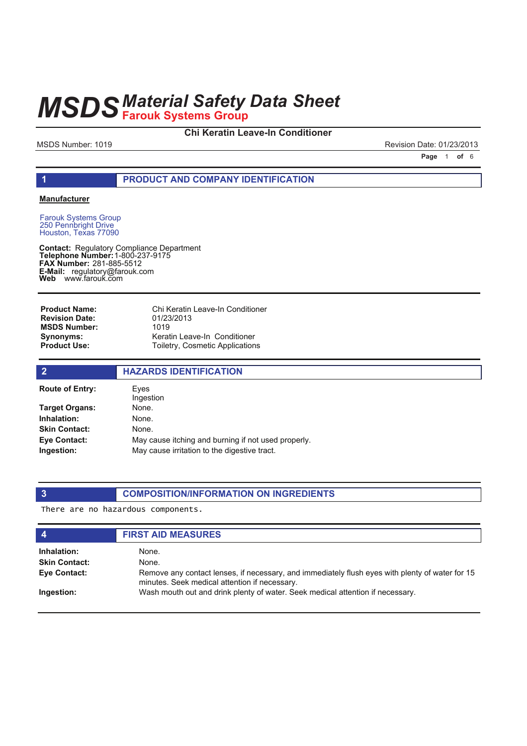## **Chi Keratin Leave-In Conditioner**

MSDS Number: 1019 **Revision Date: 01/23/2013** 

**Page 1 of 6** 

### **1 PRODUCT AND COMPANY IDENTIFICATION**

### **Manufacturer**

Farouk Systems Group 250 Pennbright Drive Houston, Texas 77090

**Contact: Telephone Number: FAX Number:** 281-885-5512 **E-Mail: Web** Regulatory Compliance Department 1-800-237-9175 regulatory@farouk.com www.farouk.com

Chi Keratin Leave-In Conditioner 01/23/2013 1019 Keratin Leave-In Conditioner Toiletry, Cosmetic Applications **Product Name: Revision Date: MSDS Number: Synonyms: Product Use:**

| $\overline{2}$         | <b>HAZARDS IDENTIFICATION</b>                       |
|------------------------|-----------------------------------------------------|
| <b>Route of Entry:</b> | Eves<br>Ingestion                                   |
| Target Organs:         | None.                                               |
| Inhalation:            | None.                                               |
| <b>Skin Contact:</b>   | None.                                               |
| Eye Contact:           | May cause itching and burning if not used properly. |
| Ingestion:             | May cause irritation to the digestive tract.        |

## **3 COMPOSITION/INFORMATION ON INGREDIENTS**

There are no hazardous components.

| $\boldsymbol{4}$     | <b>FIRST AID MEASURES</b>                                                                                                                        |
|----------------------|--------------------------------------------------------------------------------------------------------------------------------------------------|
| Inhalation:          | None.                                                                                                                                            |
| <b>Skin Contact:</b> | None.                                                                                                                                            |
| Eye Contact:         | Remove any contact lenses, if necessary, and immediately flush eyes with plenty of water for 15<br>minutes. Seek medical attention if necessary. |
| Ingestion:           | Wash mouth out and drink plenty of water. Seek medical attention if necessary.                                                                   |
|                      |                                                                                                                                                  |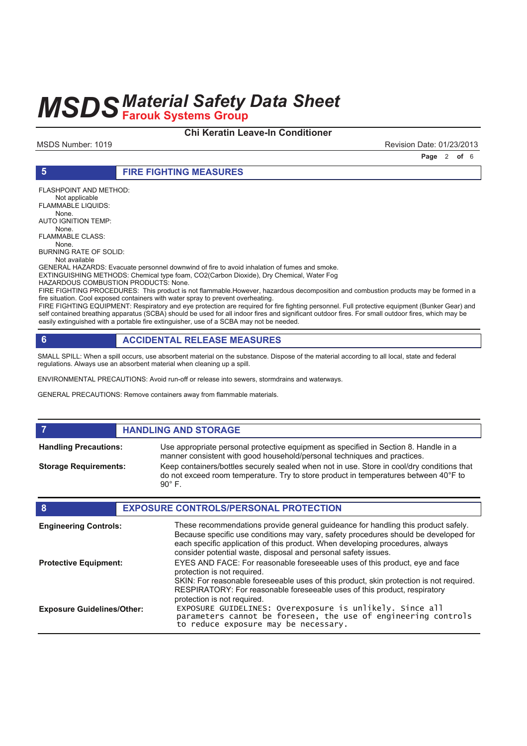## **Chi Keratin Leave-In Conditioner**

MSDS Number: 1019 **Revision Date: 01/23/2013** 

**Page 2 of 6** 

**5 FIRE FIGHTING MEASURES**

FLASHPOINT AND METHOD: Not applicable FLAMMABLE LIQUIDS: None. AUTO IGNITION TEMP: None. FLAMMABLE CLASS: None. BURNING RATE OF SOLID: Not available GENERAL HAZARDS: Evacuate personnel downwind of fire to avoid inhalation of fumes and smoke. EXTINGUISHING METHODS: Chemical type foam, CO2(Carbon Dioxide), Dry Chemical, Water Fog HAZARDOUS COMBUSTION PRODUCTS: None.

FIRE FIGHTING PROCEDURES: This product is not flammable.However, hazardous decomposition and combustion products may be formed in a fire situation. Cool exposed containers with water spray to prevent overheating.

FIRE FIGHTING EQUIPMENT: Respiratory and eye protection are required for fire fighting personnel. Full protective equipment (Bunker Gear) and self contained breathing apparatus (SCBA) should be used for all indoor fires and significant outdoor fires. For small outdoor fires, which may be easily extinguished with a portable fire extinguisher, use of a SCBA may not be needed.

## **6 ACCIDENTAL RELEASE MEASURES**

SMALL SPILL: When a spill occurs, use absorbent material on the substance. Dispose of the material according to all local, state and federal regulations. Always use an absorbent material when cleaning up a spill.

ENVIRONMENTAL PRECAUTIONS: Avoid run-off or release into sewers, stormdrains and waterways.

GENERAL PRECAUTIONS: Remove containers away from flammable materials.

## **FIGURE 12 IN STORAGE**

**Handling Precautions:**

**Storage Requirements:**

Use appropriate personal protective equipment as specified in Section 8. Handle in a manner consistent with good household/personal techniques and practices. Keep containers/bottles securely sealed when not in use. Store in cool/dry conditions that do not exceed room temperature. Try to store product in temperatures between 40°F to 90° F.

| 8                                 | <b>EXPOSURE CONTROLS/PERSONAL PROTECTION</b>                                                                                                                                                                                                                                                                                |
|-----------------------------------|-----------------------------------------------------------------------------------------------------------------------------------------------------------------------------------------------------------------------------------------------------------------------------------------------------------------------------|
| <b>Engineering Controls:</b>      | These recommendations provide general guideance for handling this product safely.<br>Because specific use conditions may vary, safety procedures should be developed for<br>each specific application of this product. When developing procedures, always<br>consider potential waste, disposal and personal safety issues. |
| <b>Protective Equipment:</b>      | EYES AND FACE: For reasonable foreseeable uses of this product, eye and face<br>protection is not required.<br>SKIN: For reasonable foreseeable uses of this product, skin protection is not required.                                                                                                                      |
| <b>Exposure Guidelines/Other:</b> | RESPIRATORY: For reasonable foreseeable uses of this product, respiratory<br>protection is not required.<br>EXPOSURE GUIDELINES: Overexposure is unlikely. Since all parameters cannot be foreseen, the use of engineering controls<br>to reduce exposure may be necessary.                                                 |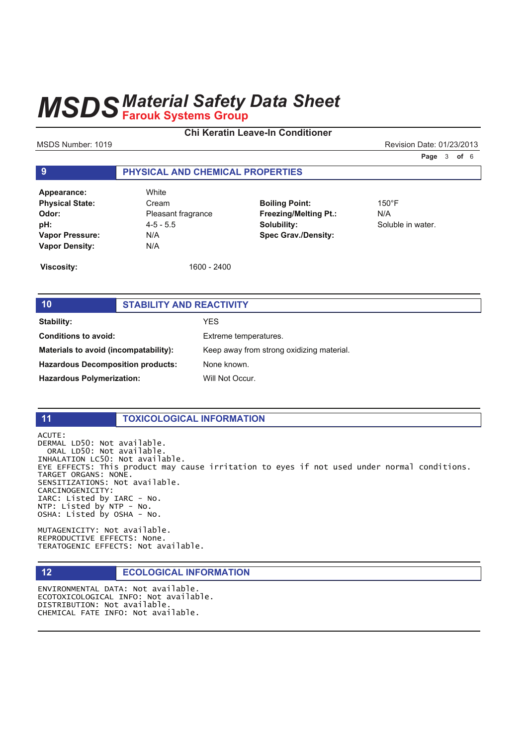## **Chi Keratin Leave-In Conditioner**

MSDS Number: 1019 **Revision Date: 01/23/2013** 

**Page 3 of 6** 

## **9 PHYSICAL AND CHEMICAL PROPERTIES**

| Appearance:            | Whi  |
|------------------------|------|
| <b>Physical State:</b> | Cre  |
| Odor:                  | Plea |
| pH:                    | 4-5  |
| <b>Vapor Pressure:</b> | N/A  |
| <b>Vapor Density:</b>  | N/A  |

**White Physical State:** Cream **Odor:** Pleasant fragrance **pH:** 4-5 - 5.5 **Vapor Density:** N/A

**Boiling Point:** 150°F **Freezing/Melting Pt.:** N/A **Solubility:** Soluble in water. **Spec Grav./Density:**

**Viscosity:** 1600 - 2400

## **10 STABILITY AND REACTIVITY Stability:** YES **Conditions to avoid:** Extreme temperatures. **Materials to avoid (incompatability):** Keep away from strong oxidizing material. **Hazardous Decomposition products:** None known. Hazardous Polymerization: Will Not Occur.

### **11 TOXICOLOGICAL INFORMATION**

ACUTE: DERMAL LD50: Not available. ORAL LD50: Not available. INHALATION LC50: Not available. EYE EFFECTS: This product may cause irritation to eyes if not used under normal conditions. TARGET ORGANS: NONE. SENSITIZATIONS: Not available. CARCINOGENICITY: IARC: Listed by IARC - No.  $NTP:$  Listed by  $NTP - NO$ . OSHA: Listed by OSHA - No.

MUTAGENICITY: Not available. REPRODUCTIVE EFFECTS: None. TERATOGENIC EFFECTS: Not available.

## **12 ECOLOGICAL INFORMATION**

ENVIRONMENTAL DATA: Not available. ECOTOXICOLOGICAL INFO: Not available. DISTRIBUTION: Not available. CHEMICAL FATE INFO: Not available.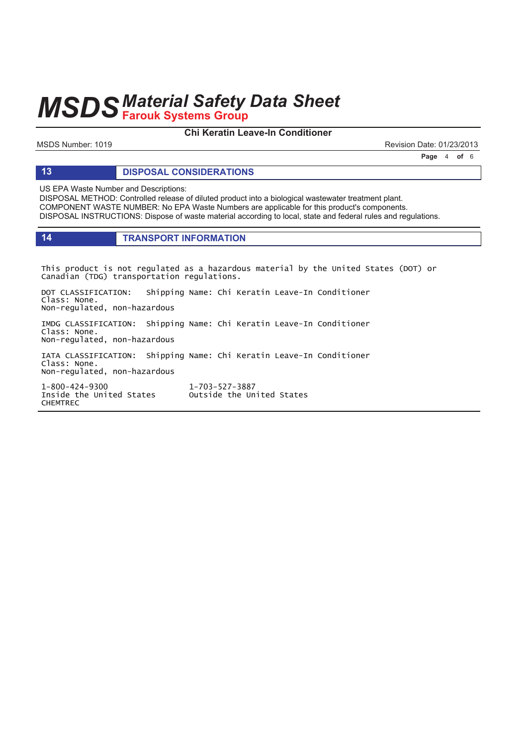## **Chi Keratin Leave-In Conditioner**

MSDS Number: 1019 **Revision Date: 01/23/2013** 

**Page 4 of 6** 

### **13 DISPOSAL CONSIDERATIONS**

US EPA Waste Number and Descriptions:

DISPOSAL METHOD: Controlled release of diluted product into a biological wastewater treatment plant. COMPONENT WASTE NUMBER: No EPA Waste Numbers are applicable for this product's components. DISPOSAL INSTRUCTIONS: Dispose of waste material according to local, state and federal rules and regulations.

## **14 TRANSPORT INFORMATION**

This product is not regulated as a hazardous material by the United States (DOT) or Canadian (TDG) transportation regulations.

DOT CLASSIFICATION: Shipping Name: Chi Keratin Leave-In Conditioner Class: None. Non-regulated, non-hazardous

IMDG CLASSIFICATION: Shipping Name: Chi Keratin Leave-In Conditioner Class: None. Non-regulated, non-hazardous

IATA CLASSIFICATION: Shipping Name: Chi Keratin Leave-In Conditioner Class: None. Non-regulated, non-hazardous

1-800-424-9300 1 Inside the United States outside the United States **CHEMTREC** 

1-703-527-3887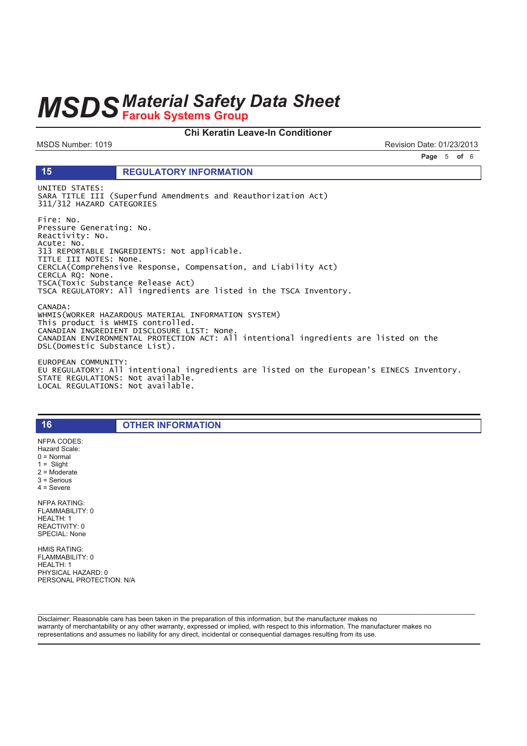### Chi Keratin Leave-In Conditioner

MSDS Number: 1019

15

Revision Date: 01/23/2013

Page 5 of 6

### **REGULATORY INFORMATION**

UNITED STATES: SARA TITLE III (Superfund Amendments and Reauthorization Act) 311/312 HAZARD CATEGORIES

Fire: No. Pressure Generating: No. Reactivity: No. Acute: No.<br>313 REPORTABLE INGREDIENTS: Not applicable. TITLE III NOTES: None. CERCLA(Comprehensive Response, Compensation, and Liability Act) CERCLA RQ: None. TSCA(Toxic Substance Release Act) TSCA REGULATORY: All ingredients are listed in the TSCA Inventory. CANADA: WHMIS(WORKER HAZARDOUS MATERIAL INFORMATION SYSTEM)

This product is WHMIS controlled. CANADIAN INGREDIENT DISCLOSURE LIST: None. CANADIAN ENVIRONMENTAL PROTECTION ACT: All intentional ingredients are listed on the<br>DSL(Domestic Substance List).

EUROPEAN COMMUNITY: EU REGULATORY: All intentional ingredients are listed on the European's EINECS Inventory. STATE REGULATIONS: Not available.<br>LOCAL REGULATIONS: Not available.

**OTHER INFORMATION** 

NFPA CODES: Hazard Scale:  $0 = \text{Normal}$  $1 =$  Slight  $2 =$  Moderate  $3 =$  Serious  $4 =$  Severe **NFPA RATING:** FLAMMABILITY: 0 HEALTH: 1 REACTIVITY: 0 SPECIAL: None

16

**HMIS RATING:** FLAMMABILITY: 0 HEALTH: 1 PHYSICAL HAZARD: 0 PERSONAL PROTECTION: N/A

Disclaimer: Reasonable care has been taken in the preparation of this information, but the manufacturer makes no warranty of merchantability or any other warranty, expressed or implied, with respect to this information. The manufacturer makes no representations and assumes no liability for any direct, incidental or consequential damages resulting from its use.